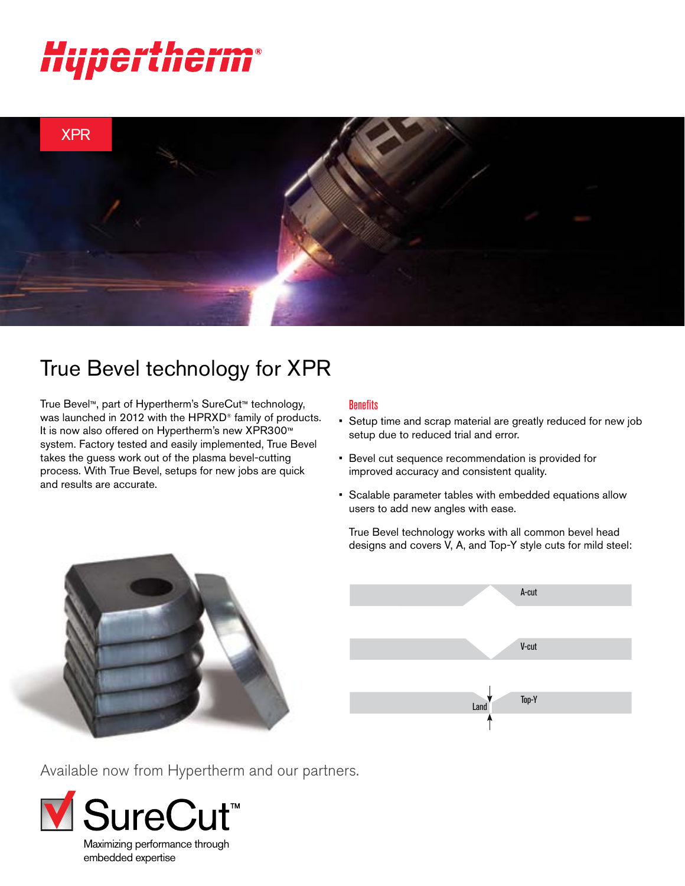# nerther



# True Bevel technology for XPR

True Bevel™, part of Hypertherm's SureCut™ technology, was launched in 2012 with the HPRXD® family of products. It is now also offered on Hypertherm's new XPR300™ system. Factory tested and easily implemented, True Bevel takes the guess work out of the plasma bevel-cutting process. With True Bevel, setups for new jobs are quick and results are accurate.

# **Benefits**

- Setup time and scrap material are greatly reduced for new job setup due to reduced trial and error.
- Bevel cut sequence recommendation is provided for improved accuracy and consistent quality.
- Scalable parameter tables with embedded equations allow users to add new angles with ease.

True Bevel technology works with all common bevel head designs and covers V, A, and Top-Y style cuts for mild steel: